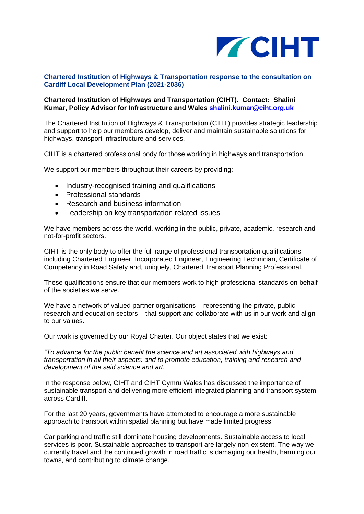

## **Chartered Institution of Highways & Transportation response to the consultation on Cardiff Local Development Plan (2021-2036)**

## **Chartered Institution of Highways and Transportation (CIHT). Contact: Shalini Kumar, Policy Advisor for Infrastructure and Wales [shalini.kumar@ciht.org.uk](mailto:shalini.kumar@ciht.org.uk)**

The Chartered Institution of Highways & Transportation (CIHT) provides strategic leadership and support to help our members develop, deliver and maintain sustainable solutions for highways, transport infrastructure and services.

CIHT is a chartered professional body for those working in highways and transportation.

We support our members throughout their careers by providing:

- Industry-recognised training and qualifications
- Professional standards
- Research and business information
- Leadership on key transportation related issues

We have members across the world, working in the public, private, academic, research and not-for-profit sectors.

CIHT is the only body to offer the full range of professional transportation qualifications including Chartered Engineer, Incorporated Engineer, Engineering Technician, Certificate of Competency in Road Safety and, uniquely, Chartered Transport Planning Professional.

These qualifications ensure that our members work to high professional standards on behalf of the societies we serve.

We have a network of valued partner organisations – representing the private, public, research and education sectors – that support and collaborate with us in our work and align to our values.

Our work is governed by our Royal Charter. Our object states that we exist:

*"To advance for the public benefit the science and art associated with highways and transportation in all their aspects: and to promote education, training and research and development of the said science and art."*

In the response below, CIHT and CIHT Cymru Wales has discussed the importance of sustainable transport and delivering more efficient integrated planning and transport system across Cardiff.

For the last 20 years, governments have attempted to encourage a more sustainable approach to transport within spatial planning but have made limited progress.

Car parking and traffic still dominate housing developments. Sustainable access to local services is poor. Sustainable approaches to transport are largely non-existent. The way we currently travel and the continued growth in road traffic is damaging our health, harming our towns, and contributing to climate change.